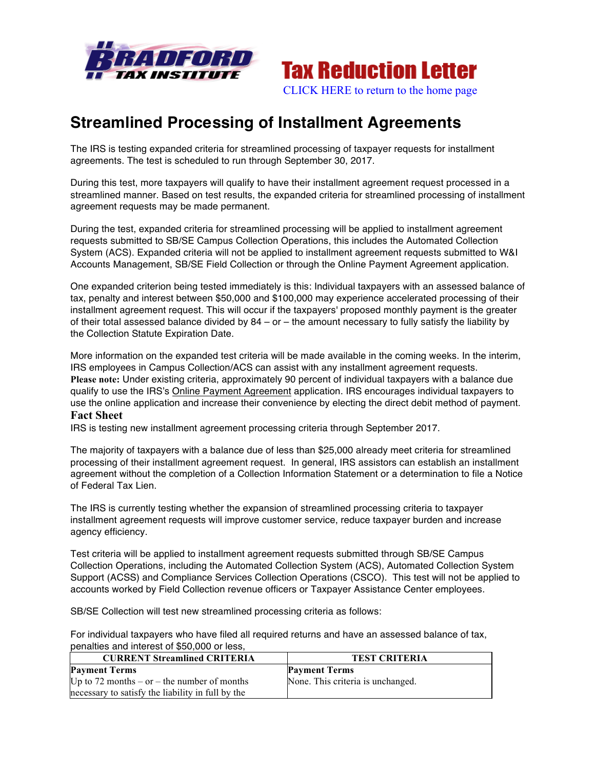



## **Streamlined Processing of Installment Agreements**

The IRS is testing expanded criteria for streamlined processing of taxpayer requests for installment agreements. The test is scheduled to run through September 30, 2017.

During this test, more taxpayers will qualify to have their installment agreement request processed in a streamlined manner. Based on test results, the expanded criteria for streamlined processing of installment agreement requests may be made permanent.

During the test, expanded criteria for streamlined processing will be applied to installment agreement requests submitted to SB/SE Campus Collection Operations, this includes the Automated Collection System (ACS). Expanded criteria will not be applied to installment agreement requests submitted to W&I Accounts Management, SB/SE Field Collection or through the Online Payment Agreement application.

One expanded criterion being tested immediately is this: Individual taxpayers with an assessed balance of tax, penalty and interest between \$50,000 and \$100,000 may experience accelerated processing of their installment agreement request. This will occur if the taxpayers' proposed monthly payment is the greater of their total assessed balance divided by  $84 - or -$  the amount necessary to fully satisfy the liability by the Collection Statute Expiration Date.

More information on the expanded test criteria will be made available in the coming weeks. In the interim, IRS employees in Campus Collection/ACS can assist with any installment agreement requests. **Please note:** Under existing criteria, approximately 90 percent of individual taxpayers with a balance due qualify to use the IRS's Online Payment Agreement application. IRS encourages individual taxpayers to use the online application and increase their convenience by electing the direct debit method of payment. **Fact Sheet**

IRS is testing new installment agreement processing criteria through September 2017.

The majority of taxpayers with a balance due of less than \$25,000 already meet criteria for streamlined processing of their installment agreement request. In general, IRS assistors can establish an installment agreement without the completion of a Collection Information Statement or a determination to file a Notice of Federal Tax Lien.

The IRS is currently testing whether the expansion of streamlined processing criteria to taxpayer installment agreement requests will improve customer service, reduce taxpayer burden and increase agency efficiency.

Test criteria will be applied to installment agreement requests submitted through SB/SE Campus Collection Operations, including the Automated Collection System (ACS), Automated Collection System Support (ACSS) and Compliance Services Collection Operations (CSCO). This test will not be applied to accounts worked by Field Collection revenue officers or Taxpayer Assistance Center employees.

SB/SE Collection will test new streamlined processing criteria as follows:

For individual taxpayers who have filed all required returns and have an assessed balance of tax, penalties and interest of \$50,000 or less,

| <b>CURRENT Streamlined CRITERIA</b>               | <b>TEST CRITERIA</b>              |
|---------------------------------------------------|-----------------------------------|
| <b>Payment Terms</b>                              | <b>Payment Terms</b>              |
| Up to 72 months – or – the number of months       | None. This criteria is unchanged. |
| necessary to satisfy the liability in full by the |                                   |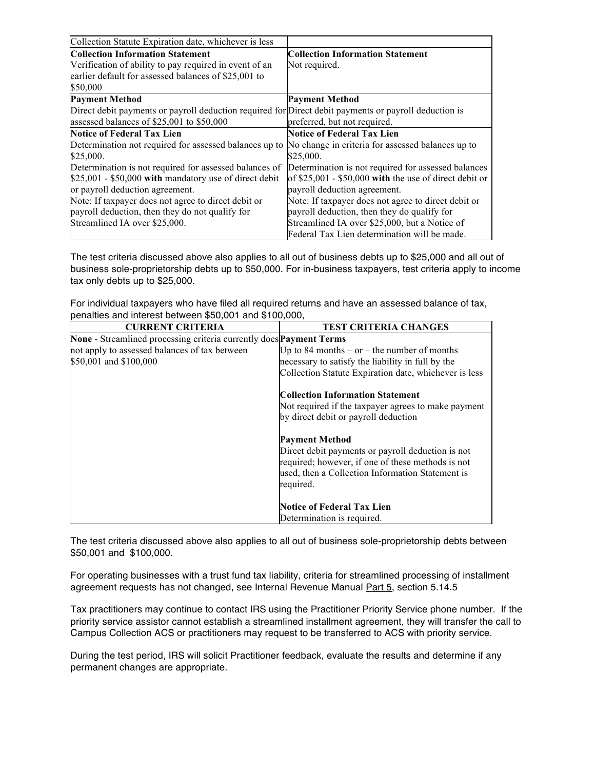| Collection Statute Expiration date, whichever is less                                                 |                                                        |
|-------------------------------------------------------------------------------------------------------|--------------------------------------------------------|
| <b>Collection Information Statement</b>                                                               | <b>Collection Information Statement</b>                |
| Verification of ability to pay required in event of an                                                | Not required.                                          |
| earlier default for assessed balances of \$25,001 to                                                  |                                                        |
| \$50,000                                                                                              |                                                        |
| <b>Payment Method</b>                                                                                 | <b>Payment Method</b>                                  |
| Direct debit payments or payroll deduction required for Direct debit payments or payroll deduction is |                                                        |
| assessed balances of \$25,001 to \$50,000                                                             | preferred, but not required.                           |
| Notice of Federal Tax Lien                                                                            | <b>Notice of Federal Tax Lien</b>                      |
| Determination not required for assessed balances up to                                                | No change in criteria for assessed balances up to      |
| \$25,000.                                                                                             | \$25,000.                                              |
| Determination is not required for assessed balances of                                                | Determination is not required for assessed balances    |
| $$25,001 - $50,000$ with mandatory use of direct debit                                                | of $$25,001 - $50,000$ with the use of direct debit or |
| or payroll deduction agreement.                                                                       | payroll deduction agreement.                           |
| Note: If taxpayer does not agree to direct debit or                                                   | Note: If taxpayer does not agree to direct debit or    |
| payroll deduction, then they do not qualify for                                                       | payroll deduction, then they do qualify for            |
| Streamlined IA over \$25,000.                                                                         | Streamlined IA over \$25,000, but a Notice of          |
|                                                                                                       | Federal Tax Lien determination will be made.           |

The test criteria discussed above also applies to all out of business debts up to \$25,000 and all out of business sole-proprietorship debts up to \$50,000. For in-business taxpayers, test criteria apply to income tax only debts up to \$25,000.

For individual taxpayers who have filed all required returns and have an assessed balance of tax, penalties and interest between \$50,001 and \$100,000,

| <b>CURRENT CRITERIA</b>                                             | <b>TEST CRITERIA CHANGES</b>                                                                                                                                            |
|---------------------------------------------------------------------|-------------------------------------------------------------------------------------------------------------------------------------------------------------------------|
| None - Streamlined processing criteria currently does Payment Terms |                                                                                                                                                                         |
| not apply to assessed balances of tax between                       | Up to 84 months $-$ or $-$ the number of months                                                                                                                         |
| \$50,001 and \$100,000                                              | necessary to satisfy the liability in full by the                                                                                                                       |
|                                                                     | Collection Statute Expiration date, whichever is less                                                                                                                   |
|                                                                     | <b>Collection Information Statement</b>                                                                                                                                 |
|                                                                     | Not required if the taxpayer agrees to make payment<br>by direct debit or payroll deduction                                                                             |
|                                                                     | <b>Payment Method</b>                                                                                                                                                   |
|                                                                     | Direct debit payments or payroll deduction is not<br>required; however, if one of these methods is not<br>used, then a Collection Information Statement is<br>required. |
|                                                                     | <b>Notice of Federal Tax Lien</b>                                                                                                                                       |
|                                                                     | Determination is required.                                                                                                                                              |

The test criteria discussed above also applies to all out of business sole-proprietorship debts between \$50,001 and \$100,000.

For operating businesses with a trust fund tax liability, criteria for streamlined processing of installment agreement requests has not changed, see Internal Revenue Manual Part 5, section 5.14.5

Tax practitioners may continue to contact IRS using the Practitioner Priority Service phone number. If the priority service assistor cannot establish a streamlined installment agreement, they will transfer the call to Campus Collection ACS or practitioners may request to be transferred to ACS with priority service.

During the test period, IRS will solicit Practitioner feedback, evaluate the results and determine if any permanent changes are appropriate.